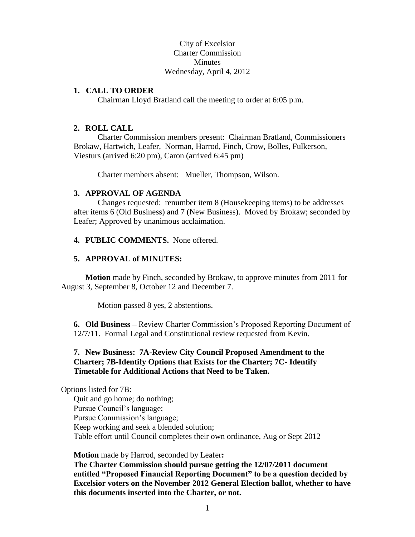City of Excelsior Charter Commission **Minutes** Wednesday, April 4, 2012

### **1. CALL TO ORDER**

Chairman Lloyd Bratland call the meeting to order at 6:05 p.m.

#### **2. ROLL CALL**

Charter Commission members present: Chairman Bratland, Commissioners Brokaw, Hartwich, Leafer, Norman, Harrod, Finch, Crow, Bolles, Fulkerson, Viesturs (arrived 6:20 pm), Caron (arrived 6:45 pm)

Charter members absent: Mueller, Thompson, Wilson.

#### **3. APPROVAL OF AGENDA**

Changes requested: renumber item 8 (Housekeeping items) to be addresses after items 6 (Old Business) and 7 (New Business). Moved by Brokaw; seconded by Leafer; Approved by unanimous acclaimation.

#### **4. PUBLIC COMMENTS.** None offered.

#### **5. APPROVAL of MINUTES:**

**Motion** made by Finch, seconded by Brokaw, to approve minutes from 2011 for August 3, September 8, October 12 and December 7.

Motion passed 8 yes, 2 abstentions.

**6. Old Business –** Review Charter Commission's Proposed Reporting Document of 12/7/11. Formal Legal and Constitutional review requested from Kevin.

## **7. New Business: 7A-Review City Council Proposed Amendment to the Charter; 7B-Identify Options that Exists for the Charter; 7C- Identify Timetable for Additional Actions that Need to be Taken.**

Options listed for 7B:

Quit and go home; do nothing; Pursue Council's language; Pursue Commission's language; Keep working and seek a blended solution; Table effort until Council completes their own ordinance, Aug or Sept 2012

**Motion** made by Harrod, seconded by Leafer**:** 

**The Charter Commission should pursue getting the 12/07/2011 document entitled "Proposed Financial Reporting Document" to be a question decided by Excelsior voters on the November 2012 General Election ballot, whether to have this documents inserted into the Charter, or not.**